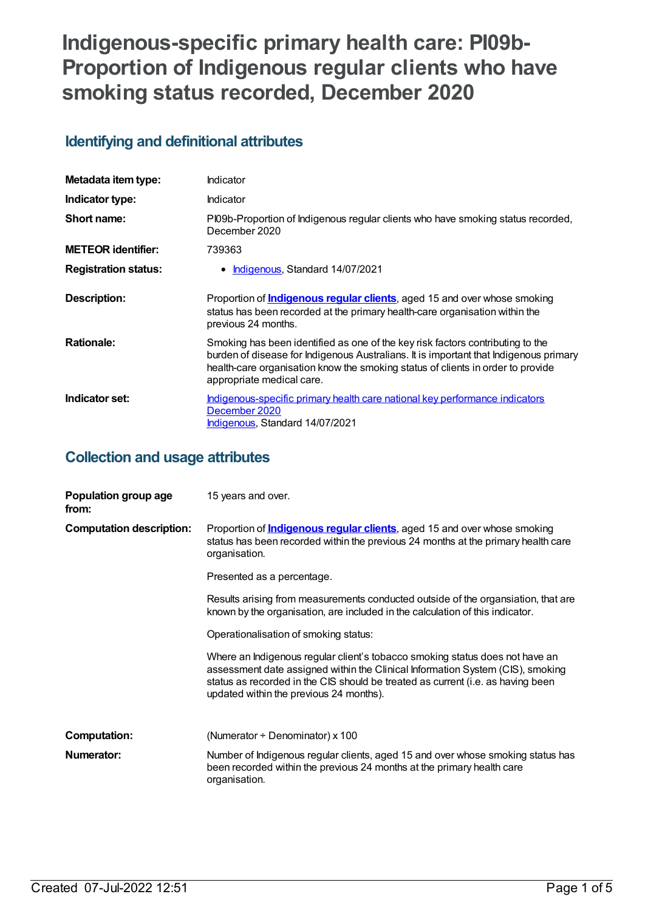# **Indigenous-specific primary health care: PI09b-Proportion of Indigenous regular clients who have smoking status recorded, December 2020**

## **Identifying and definitional attributes**

| Metadata item type:         | Indicator                                                                                                                                                                                                                                                                               |
|-----------------------------|-----------------------------------------------------------------------------------------------------------------------------------------------------------------------------------------------------------------------------------------------------------------------------------------|
| Indicator type:             | Indicator                                                                                                                                                                                                                                                                               |
| Short name:                 | PI09b-Proportion of Indigenous regular clients who have smoking status recorded,<br>December 2020                                                                                                                                                                                       |
| <b>METEOR identifier:</b>   | 739363                                                                                                                                                                                                                                                                                  |
| <b>Registration status:</b> | Indigenous, Standard 14/07/2021                                                                                                                                                                                                                                                         |
| Description:                | Proportion of <b>Indigenous regular clients</b> , aged 15 and over whose smoking<br>status has been recorded at the primary health-care organisation within the<br>previous 24 months.                                                                                                  |
| <b>Rationale:</b>           | Smoking has been identified as one of the key risk factors contributing to the<br>burden of disease for Indigenous Australians. It is important that Indigenous primary<br>health-care organisation know the smoking status of clients in order to provide<br>appropriate medical care. |
| Indicator set:              | Indigenous-specific primary health care national key performance indicators<br>December 2020<br>Indigenous, Standard 14/07/2021                                                                                                                                                         |

### **Collection and usage attributes**

| Population group age<br>from:   | 15 years and over.                                                                                                                                                                                                                                                                           |
|---------------------------------|----------------------------------------------------------------------------------------------------------------------------------------------------------------------------------------------------------------------------------------------------------------------------------------------|
| <b>Computation description:</b> | Proportion of <i>Indigenous regular clients</i> , aged 15 and over whose smoking<br>status has been recorded within the previous 24 months at the primary health care<br>organisation.                                                                                                       |
|                                 | Presented as a percentage.                                                                                                                                                                                                                                                                   |
|                                 | Results arising from measurements conducted outside of the organsiation, that are<br>known by the organisation, are included in the calculation of this indicator.                                                                                                                           |
|                                 | Operationalisation of smoking status:                                                                                                                                                                                                                                                        |
|                                 | Where an Indigenous regular client's tobacco smoking status does not have an<br>assessment date assigned within the Clinical Information System (CIS), smoking<br>status as recorded in the CIS should be treated as current (i.e. as having been<br>updated within the previous 24 months). |
| <b>Computation:</b>             | (Numerator $\div$ Denominator) x 100                                                                                                                                                                                                                                                         |
| Numerator:                      | Number of Indigenous regular clients, aged 15 and over whose smoking status has<br>been recorded within the previous 24 months at the primary health care<br>organisation.                                                                                                                   |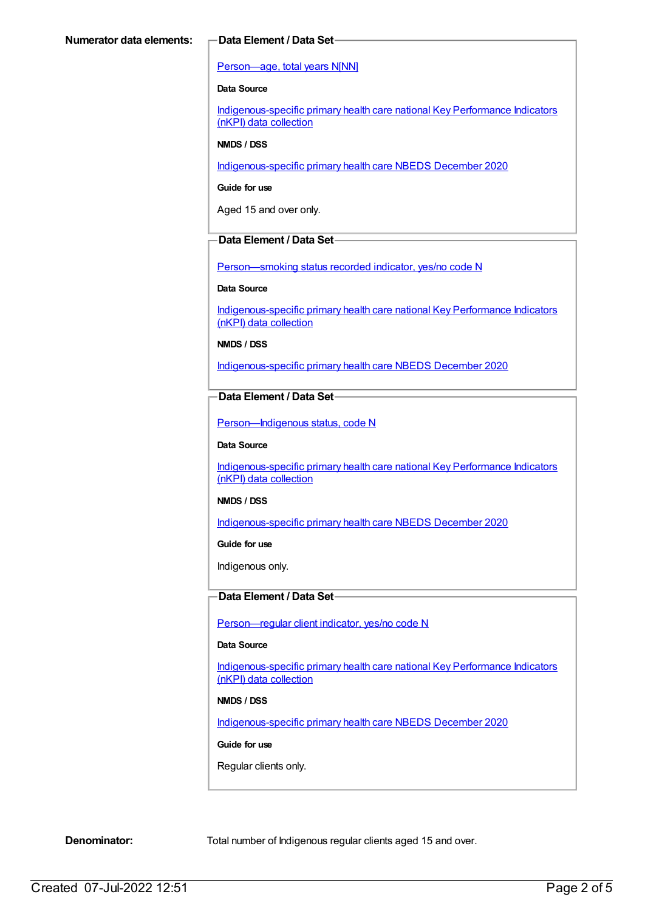#### [Person—age,](https://meteor.aihw.gov.au/content/303794) total years N[NN]

#### **Data Source**

[Indigenous-specific](https://meteor.aihw.gov.au/content/737914) primary health care national Key Performance Indicators (nKPI) data collection

#### **NMDS / DSS**

[Indigenous-specific](https://meteor.aihw.gov.au/content/738532) primary health care NBEDS December 2020

**Guide for use**

Aged 15 and over only.

#### **Data Element / Data Set**

Person-smoking status recorded indicator, yes/no code N

#### **Data Source**

[Indigenous-specific](https://meteor.aihw.gov.au/content/737914) primary health care national Key Performance Indicators (nKPI) data collection

**NMDS / DSS**

[Indigenous-specific](https://meteor.aihw.gov.au/content/738532) primary health care NBEDS December 2020

#### **Data Element / Data Set**

[Person—Indigenous](https://meteor.aihw.gov.au/content/602543) status, code N

#### **Data Source**

[Indigenous-specific](https://meteor.aihw.gov.au/content/737914) primary health care national Key Performance Indicators (nKPI) data collection

#### **NMDS / DSS**

[Indigenous-specific](https://meteor.aihw.gov.au/content/738532) primary health care NBEDS December 2020

**Guide for use**

Indigenous only.

### **Data Element / Data Set**

[Person—regular](https://meteor.aihw.gov.au/content/686291) client indicator, yes/no code N

#### **Data Source**

[Indigenous-specific](https://meteor.aihw.gov.au/content/737914) primary health care national Key Performance Indicators (nKPI) data collection

#### **NMDS / DSS**

[Indigenous-specific](https://meteor.aihw.gov.au/content/738532) primary health care NBEDS December 2020

#### **Guide for use**

Regular clients only.

**Denominator:** Total number of Indigenous regular clients aged 15 and over.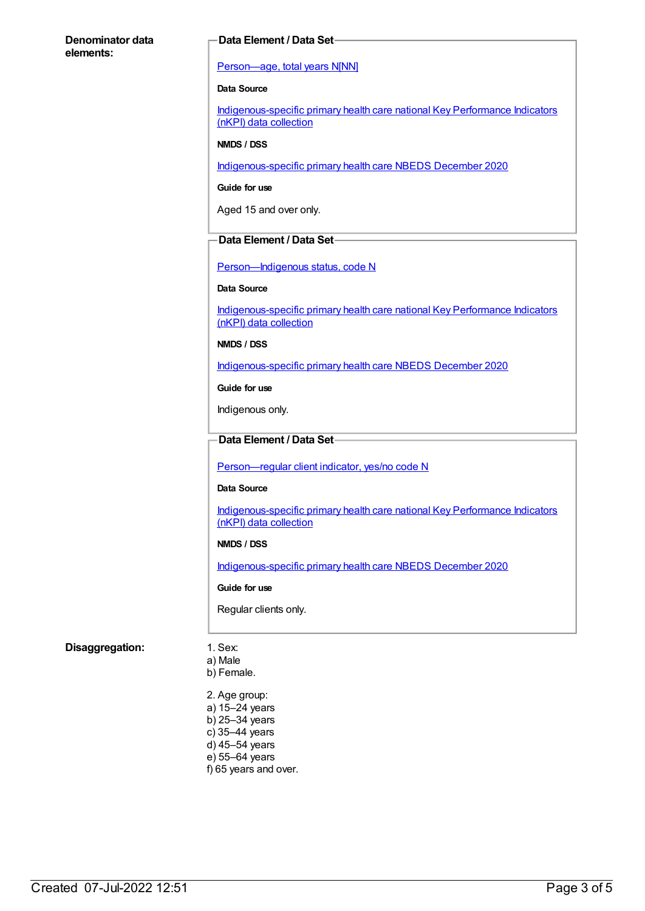#### **Denominator data elements:**

#### **Data Element / Data Set**

#### [Person—age,](https://meteor.aihw.gov.au/content/303794) total years N[NN]

#### **Data Source**

[Indigenous-specific](https://meteor.aihw.gov.au/content/737914) primary health care national Key Performance Indicators (nKPI) data collection

#### **NMDS / DSS**

[Indigenous-specific](https://meteor.aihw.gov.au/content/738532) primary health care NBEDS December 2020

#### **Guide for use**

Aged 15 and over only.

#### **Data Element / Data Set**

Person-Indigenous status, code N

#### **Data Source**

[Indigenous-specific](https://meteor.aihw.gov.au/content/737914) primary health care national Key Performance Indicators (nKPI) data collection

#### **NMDS / DSS**

[Indigenous-specific](https://meteor.aihw.gov.au/content/738532) primary health care NBEDS December 2020

**Guide for use**

Indigenous only.

#### **Data Element / Data Set**

[Person—regular](https://meteor.aihw.gov.au/content/686291) client indicator, yes/no code N

#### **Data Source**

[Indigenous-specific](https://meteor.aihw.gov.au/content/737914) primary health care national Key Performance Indicators (nKPI) data collection

#### **NMDS / DSS**

[Indigenous-specific](https://meteor.aihw.gov.au/content/738532) primary health care NBEDS December 2020

#### **Guide for use**

Regular clients only.

#### **Disaggregation:** 1. Sex:

- a) Male
- b) Female.
- 2. Age group: a) 15–24 years b) 25–34 years c) 35–44 years d) 45–54 years e) 55–64 years f) 65 years and over.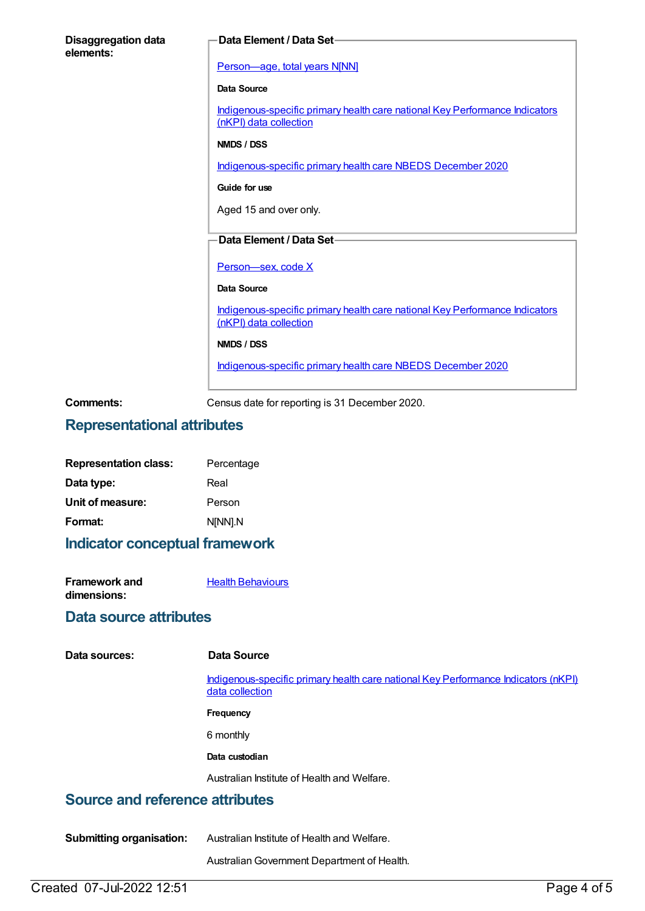| <b>Disaggregation data</b><br>elements: | Data Element / Data Set-                                                                              |
|-----------------------------------------|-------------------------------------------------------------------------------------------------------|
|                                         | Person-age, total years N[NN]                                                                         |
|                                         | Data Source                                                                                           |
|                                         | Indigenous-specific primary health care national Key Performance Indicators<br>(nKPI) data collection |
|                                         | NMDS / DSS                                                                                            |
|                                         | Indigenous-specific primary health care NBEDS December 2020                                           |
|                                         | Guide for use                                                                                         |
|                                         | Aged 15 and over only.                                                                                |
|                                         | Data Element / Data Set-                                                                              |
|                                         |                                                                                                       |
|                                         | Person-sex, code X                                                                                    |
|                                         | Data Source                                                                                           |
|                                         | Indigenous-specific primary health care national Key Performance Indicators<br>(nKPI) data collection |
|                                         | NMDS / DSS                                                                                            |
|                                         | Indigenous-specific primary health care NBEDS December 2020                                           |
| Comments:                               | Census date for reporting is 31 December 2020.                                                        |

### **Representational attributes**

| <b>Representation class:</b> | Percentage |
|------------------------------|------------|
| Data type:                   | Real       |
| Unit of measure:             | Person     |
| Format:                      | N[NN].N    |

### **Indicator conceptual framework**

| <b>Framework and</b> | <b>Health Behaviours</b> |
|----------------------|--------------------------|
| dimensions:          |                          |

### **Data source attributes**

| Data sources: |  |
|---------------|--|
|---------------|--|

#### **Data Source**

[Indigenous-specific](https://meteor.aihw.gov.au/content/737914) primary health care national Key Performance Indicators (nKPI) data collection

**Frequency**

6 monthly

#### **Data custodian**

Australian Institute of Health and Welfare.

### **Source and reference attributes**

**Submitting organisation:** Australian Institute of Health and Welfare.

AustralianGovernment Department of Health.